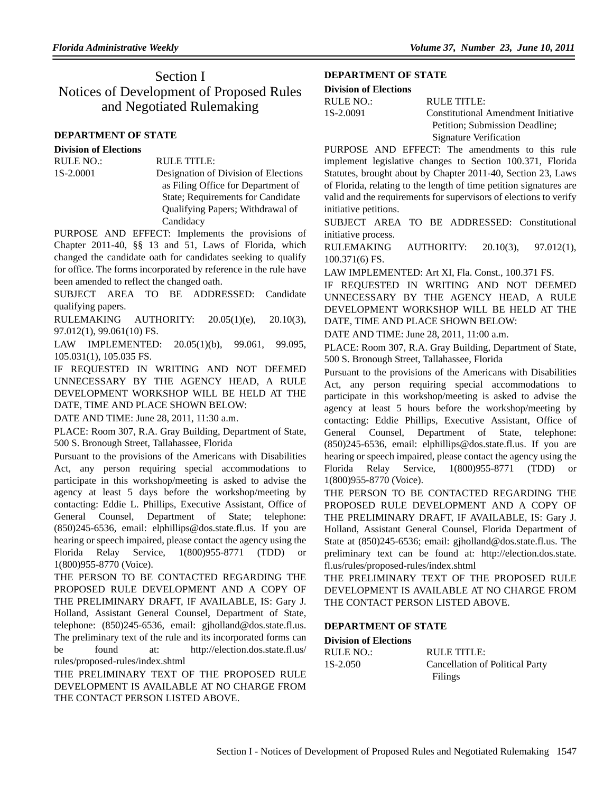# Section I Notices of Development of Proposed Rules and Negotiated Rulemaking

### **DEPARTMENT OF STATE**

#### **Division of Elections**

## RULE NO.: RULE TITLE:

1S-2.0001 Designation of Division of Elections as Filing Office for Department of State; Requirements for Candidate Qualifying Papers; Withdrawal of Candidacy

PURPOSE AND EFFECT: Implements the provisions of Chapter 2011-40, §§ 13 and 51, Laws of Florida, which changed the candidate oath for candidates seeking to qualify for office. The forms incorporated by reference in the rule have been amended to reflect the changed oath.

SUBJECT AREA TO BE ADDRESSED: Candidate qualifying papers.

RULEMAKING AUTHORITY:  $20.05(1)(e)$ ,  $20.10(3)$ , 97.012(1), 99.061(10) FS.

LAW IMPLEMENTED: 20.05(1)(b), 99.061, 99.095, 105.031(1), 105.035 FS.

IF REQUESTED IN WRITING AND NOT DEEMED UNNECESSARY BY THE AGENCY HEAD, A RULE DEVELOPMENT WORKSHOP WILL BE HELD AT THE DATE, TIME AND PLACE SHOWN BELOW:

DATE AND TIME: June 28, 2011, 11:30 a.m.

PLACE: Room 307, R.A. Gray Building, Department of State, 500 S. Bronough Street, Tallahassee, Florida

Pursuant to the provisions of the Americans with Disabilities Act, any person requiring special accommodations to participate in this workshop/meeting is asked to advise the agency at least 5 days before the workshop/meeting by contacting: Eddie L. Phillips, Executive Assistant, Office of General Counsel, Department of State; telephone: (850)245-6536, email: elphillips@dos.state.fl.us. If you are hearing or speech impaired, please contact the agency using the Florida Relay Service, 1(800)955-8771 (TDD) or 1(800)955-8770 (Voice).

THE PERSON TO BE CONTACTED REGARDING THE PROPOSED RULE DEVELOPMENT AND A COPY OF THE PRELIMINARY DRAFT, IF AVAILABLE, IS: Gary J. Holland, Assistant General Counsel, Department of State, telephone: (850)245-6536, email: gjholland@dos.state.fl.us. The preliminary text of the rule and its incorporated forms can be found at: http://election.dos.state.fl.us/ rules/proposed-rules/index.shtml

THE PRELIMINARY TEXT OF THE PROPOSED RULE DEVELOPMENT IS AVAILABLE AT NO CHARGE FROM THE CONTACT PERSON LISTED ABOVE.

#### **DEPARTMENT OF STATE**

| <b>Division of Elections</b> |  |
|------------------------------|--|
|                              |  |

| RULE NO.: | RULE TITLE:                         |
|-----------|-------------------------------------|
| 1S-2.0091 | Constitutional Amendment Initiative |
|           | Petition; Submission Deadline;      |
|           | <b>Signature Verification</b>       |

PURPOSE AND EFFECT: The amendments to this rule implement legislative changes to Section 100.371, Florida Statutes, brought about by Chapter 2011-40, Section 23, Laws of Florida, relating to the length of time petition signatures are valid and the requirements for supervisors of elections to verify initiative petitions.

SUBJECT AREA TO BE ADDRESSED: Constitutional initiative process.

RULEMAKING AUTHORITY: 20.10(3), 97.012(1), 100.371(6) FS.

LAW IMPLEMENTED: Art XI, Fla. Const., 100.371 FS.

IF REQUESTED IN WRITING AND NOT DEEMED UNNECESSARY BY THE AGENCY HEAD, A RULE DEVELOPMENT WORKSHOP WILL BE HELD AT THE DATE, TIME AND PLACE SHOWN BELOW:

DATE AND TIME: June 28, 2011, 11:00 a.m.

PLACE: Room 307, R.A. Gray Building, Department of State, 500 S. Bronough Street, Tallahassee, Florida

Pursuant to the provisions of the Americans with Disabilities Act, any person requiring special accommodations to participate in this workshop/meeting is asked to advise the agency at least 5 hours before the workshop/meeting by contacting: Eddie Phillips, Executive Assistant, Office of General Counsel, Department of State, telephone: (850)245-6536, email: elphillips@dos.state.fl.us. If you are hearing or speech impaired, please contact the agency using the Florida Relay Service, 1(800)955-8771 (TDD) or 1(800)955-8770 (Voice).

THE PERSON TO BE CONTACTED REGARDING THE PROPOSED RULE DEVELOPMENT AND A COPY OF THE PRELIMINARY DRAFT, IF AVAILABLE, IS: Gary J. Holland, Assistant General Counsel, Florida Department of State at (850)245-6536; email: gjholland@dos.state.fl.us. The preliminary text can be found at: http://election.dos.state. fl.us/rules/proposed-rules/index.shtml

THE PRELIMINARY TEXT OF THE PROPOSED RULE DEVELOPMENT IS AVAILABLE AT NO CHARGE FROM THE CONTACT PERSON LISTED ABOVE.

#### **DEPARTMENT OF STATE**

**Division of Elections**

RULE NO.: RULE TITLE: 1S-2.050 Cancellation of Political Party Filings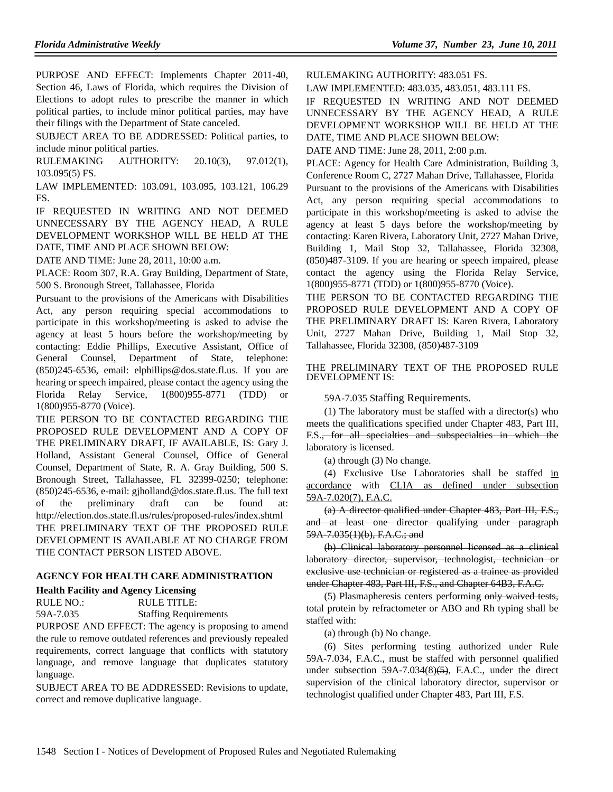PURPOSE AND EFFECT: Implements Chapter 2011-40, Section 46, Laws of Florida, which requires the Division of Elections to adopt rules to prescribe the manner in which political parties, to include minor political parties, may have their filings with the Department of State canceled.

SUBJECT AREA TO BE ADDRESSED: Political parties, to include minor political parties.

RULEMAKING AUTHORITY: 20.10(3), 97.012(1), 103.095(5) FS.

LAW IMPLEMENTED: 103.091, 103.095, 103.121, 106.29 FS.

IF REQUESTED IN WRITING AND NOT DEEMED UNNECESSARY BY THE AGENCY HEAD, A RULE DEVELOPMENT WORKSHOP WILL BE HELD AT THE DATE, TIME AND PLACE SHOWN BELOW:

DATE AND TIME: June 28, 2011, 10:00 a.m.

PLACE: Room 307, R.A. Gray Building, Department of State, 500 S. Bronough Street, Tallahassee, Florida

Pursuant to the provisions of the Americans with Disabilities Act, any person requiring special accommodations to participate in this workshop/meeting is asked to advise the agency at least 5 hours before the workshop/meeting by contacting: Eddie Phillips, Executive Assistant, Office of General Counsel, Department of State, telephone: (850)245-6536, email: elphillips@dos.state.fl.us. If you are hearing or speech impaired, please contact the agency using the Florida Relay Service, 1(800)955-8771 (TDD) or 1(800)955-8770 (Voice).

THE PERSON TO BE CONTACTED REGARDING THE PROPOSED RULE DEVELOPMENT AND A COPY OF THE PRELIMINARY DRAFT, IF AVAILABLE, IS: Gary J. Holland, Assistant General Counsel, Office of General Counsel, Department of State, R. A. Gray Building, 500 S. Bronough Street, Tallahassee, FL 32399-0250; telephone: (850)245-6536, e-mail: gjholland@dos.state.fl.us. The full text of the preliminary draft can be found at: http://election.dos.state.fl.us/rules/proposed-rules/index.shtml THE PRELIMINARY TEXT OF THE PROPOSED RULE DEVELOPMENT IS AVAILABLE AT NO CHARGE FROM THE CONTACT PERSON LISTED ABOVE.

#### **AGENCY FOR HEALTH CARE ADMINISTRATION**

#### **Health Facility and Agency Licensing**

RULE NO.: RULE TITLE:

59A-7.035 Staffing Requirements

PURPOSE AND EFFECT: The agency is proposing to amend the rule to remove outdated references and previously repealed requirements, correct language that conflicts with statutory language, and remove language that duplicates statutory language.

SUBJECT AREA TO BE ADDRESSED: Revisions to update, correct and remove duplicative language.

RULEMAKING AUTHORITY: 483.051 FS.

LAW IMPLEMENTED: 483.035, 483.051, 483.111 FS.

IF REQUESTED IN WRITING AND NOT DEEMED UNNECESSARY BY THE AGENCY HEAD, A RULE DEVELOPMENT WORKSHOP WILL BE HELD AT THE DATE, TIME AND PLACE SHOWN BELOW:

DATE AND TIME: June 28, 2011, 2:00 p.m.

PLACE: Agency for Health Care Administration, Building 3, Conference Room C, 2727 Mahan Drive, Tallahassee, Florida

Pursuant to the provisions of the Americans with Disabilities Act, any person requiring special accommodations to participate in this workshop/meeting is asked to advise the agency at least 5 days before the workshop/meeting by contacting: Karen Rivera, Laboratory Unit, 2727 Mahan Drive, Building 1, Mail Stop 32, Tallahassee, Florida 32308, (850)487-3109. If you are hearing or speech impaired, please contact the agency using the Florida Relay Service, 1(800)955-8771 (TDD) or 1(800)955-8770 (Voice).

THE PERSON TO BE CONTACTED REGARDING THE PROPOSED RULE DEVELOPMENT AND A COPY OF THE PRELIMINARY DRAFT IS: Karen Rivera, Laboratory Unit, 2727 Mahan Drive, Building 1, Mail Stop 32, Tallahassee, Florida 32308, (850)487-3109

THE PRELIMINARY TEXT OF THE PROPOSED RULE DEVELOPMENT IS:

59A-7.035 Staffing Requirements.

(1) The laboratory must be staffed with a director(s) who meets the qualifications specified under Chapter 483, Part III, F.S., for all specialties and subspecialties in which the laboratory is licensed.

(a) through (3) No change.

(4) Exclusive Use Laboratories shall be staffed in accordance with CLIA as defined under subsection 59A-7.020(7), F.A.C.

(a) A director qualified under Chapter 483, Part III, F.S., and at least one director qualifying under paragraph 59A-7.035(1)(b), F.A.C.; and

(b) Clinical laboratory personnel licensed as a clinical laboratory director, supervisor, technologist, technician or exclusive use technician or registered as a trainee as provided under Chapter 483, Part III, F.S., and Chapter 64B3, F.A.C.

(5) Plasmapheresis centers performing only waived tests, total protein by refractometer or ABO and Rh typing shall be staffed with:

(a) through (b) No change.

(6) Sites performing testing authorized under Rule 59A-7.034, F.A.C., must be staffed with personnel qualified under subsection  $59A-7.034(8)$ (5), F.A.C., under the direct supervision of the clinical laboratory director, supervisor or technologist qualified under Chapter 483, Part III, F.S.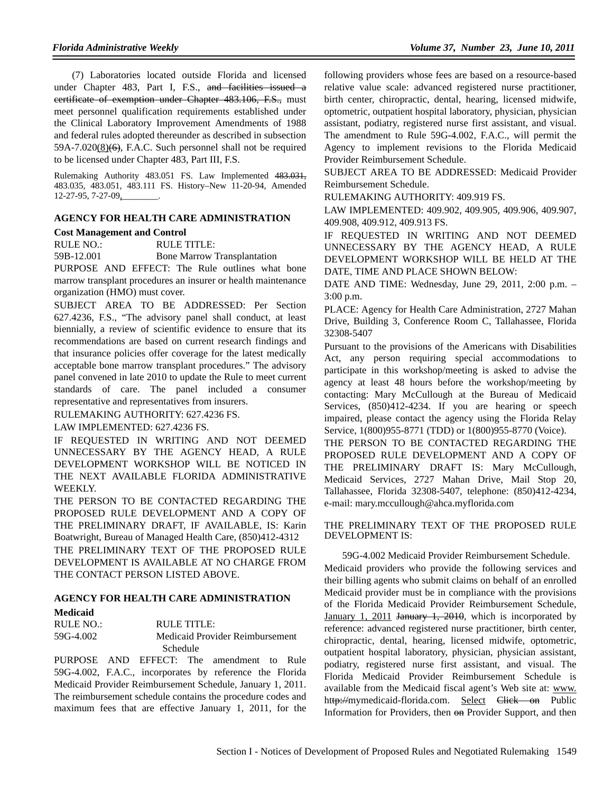(7) Laboratories located outside Florida and licensed under Chapter 483, Part I, F.S., and facilities issued a certificate of exemption under Chapter 483.106, F.S., must meet personnel qualification requirements established under the Clinical Laboratory Improvement Amendments of 1988 and federal rules adopted thereunder as described in subsection  $59A-7.020(8)$  (6), F.A.C. Such personnel shall not be required to be licensed under Chapter 483, Part III, F.S.

Rulemaking Authority 483.051 FS. Law Implemented 483.031, 483.035, 483.051, 483.111 FS. History–New 11-20-94, Amended 12-27-95, 7-27-09,

#### **AGENCY FOR HEALTH CARE ADMINISTRATION Cost Management and Control**

RULE NO.: RULE TITLE:

59B-12.001 Bone Marrow Transplantation

PURPOSE AND EFFECT: The Rule outlines what bone marrow transplant procedures an insurer or health maintenance organization (HMO) must cover.

SUBJECT AREA TO BE ADDRESSED: Per Section 627.4236, F.S., "The advisory panel shall conduct, at least biennially, a review of scientific evidence to ensure that its recommendations are based on current research findings and that insurance policies offer coverage for the latest medically acceptable bone marrow transplant procedures." The advisory panel convened in late 2010 to update the Rule to meet current standards of care. The panel included a consumer representative and representatives from insurers.

RULEMAKING AUTHORITY: 627.4236 FS.

LAW IMPLEMENTED: 627.4236 FS.

IF REQUESTED IN WRITING AND NOT DEEMED UNNECESSARY BY THE AGENCY HEAD, A RULE DEVELOPMENT WORKSHOP WILL BE NOTICED IN THE NEXT AVAILABLE FLORIDA ADMINISTRATIVE WEEKLY.

THE PERSON TO BE CONTACTED REGARDING THE PROPOSED RULE DEVELOPMENT AND A COPY OF THE PRELIMINARY DRAFT, IF AVAILABLE, IS: Karin Boatwright, Bureau of Managed Health Care, (850)412-4312 THE PRELIMINARY TEXT OF THE PROPOSED RULE DEVELOPMENT IS AVAILABLE AT NO CHARGE FROM THE CONTACT PERSON LISTED ABOVE.

# **AGENCY FOR HEALTH CARE ADMINISTRATION**

#### **Medicaid**

| RULE NO.: | RULE TITLE:                     |
|-----------|---------------------------------|
| 59G-4.002 | Medicaid Provider Reimbursement |
|           | Schedule                        |

PURPOSE AND EFFECT: The amendment to Rule 59G-4.002, F.A.C., incorporates by reference the Florida Medicaid Provider Reimbursement Schedule, January 1, 2011. The reimbursement schedule contains the procedure codes and maximum fees that are effective January 1, 2011, for the

following providers whose fees are based on a resource-based relative value scale: advanced registered nurse practitioner, birth center, chiropractic, dental, hearing, licensed midwife, optometric, outpatient hospital laboratory, physician, physician assistant, podiatry, registered nurse first assistant, and visual. The amendment to Rule 59G-4.002, F.A.C., will permit the Agency to implement revisions to the Florida Medicaid Provider Reimbursement Schedule.

SUBJECT AREA TO BE ADDRESSED: Medicaid Provider Reimbursement Schedule.

RULEMAKING AUTHORITY: 409.919 FS.

LAW IMPLEMENTED: 409.902, 409.905, 409.906, 409.907, 409.908, 409.912, 409.913 FS.

IF REQUESTED IN WRITING AND NOT DEEMED UNNECESSARY BY THE AGENCY HEAD, A RULE DEVELOPMENT WORKSHOP WILL BE HELD AT THE DATE, TIME AND PLACE SHOWN BELOW:

DATE AND TIME: Wednesday, June 29, 2011, 2:00 p.m. – 3:00 p.m.

PLACE: Agency for Health Care Administration, 2727 Mahan Drive, Building 3, Conference Room C, Tallahassee, Florida 32308-5407

Pursuant to the provisions of the Americans with Disabilities Act, any person requiring special accommodations to participate in this workshop/meeting is asked to advise the agency at least 48 hours before the workshop/meeting by contacting: Mary McCullough at the Bureau of Medicaid Services, (850)412-4234. If you are hearing or speech impaired, please contact the agency using the Florida Relay Service, 1(800)955-8771 (TDD) or 1(800)955-8770 (Voice).

THE PERSON TO BE CONTACTED REGARDING THE PROPOSED RULE DEVELOPMENT AND A COPY OF THE PRELIMINARY DRAFT IS: Mary McCullough, Medicaid Services, 2727 Mahan Drive, Mail Stop 20, Tallahassee, Florida 32308-5407, telephone: (850)412-4234, e-mail: mary.mccullough@ahca.myflorida.com

THE PRELIMINARY TEXT OF THE PROPOSED RULE DEVELOPMENT IS:

59G-4.002 Medicaid Provider Reimbursement Schedule. Medicaid providers who provide the following services and their billing agents who submit claims on behalf of an enrolled Medicaid provider must be in compliance with the provisions of the Florida Medicaid Provider Reimbursement Schedule, January 1, 2011 January 1, 2010, which is incorporated by reference: advanced registered nurse practitioner, birth center, chiropractic, dental, hearing, licensed midwife, optometric, outpatient hospital laboratory, physician, physician assistant, podiatry, registered nurse first assistant, and visual. The Florida Medicaid Provider Reimbursement Schedule is available from the Medicaid fiscal agent's Web site at: www. http://mymedicaid-florida.com. Select Click on Public Information for Providers, then  $\Theta$  Provider Support, and then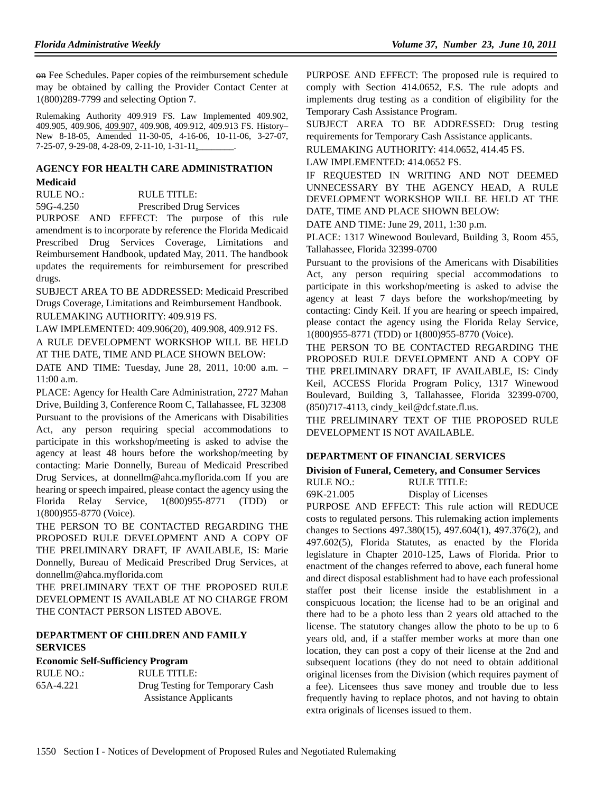on Fee Schedules. Paper copies of the reimbursement schedule may be obtained by calling the Provider Contact Center at 1(800)289-7799 and selecting Option 7.

Rulemaking Authority 409.919 FS. Law Implemented 409.902, 409.905, 409.906, 409.907, 409.908, 409.912, 409.913 FS. History– New 8-18-05, Amended 11-30-05, 4-16-06, 10-11-06, 3-27-07, 7-25-07, 9-29-08, 4-28-09, 2-11-10, 1-31-11,

# **AGENCY FOR HEALTH CARE ADMINISTRATION**

## **Medicaid**

RULE NO.: RULE TITLE:

59G-4.250 Prescribed Drug Services

PURPOSE AND EFFECT: The purpose of this rule amendment is to incorporate by reference the Florida Medicaid Prescribed Drug Services Coverage, Limitations and Reimbursement Handbook, updated May, 2011. The handbook updates the requirements for reimbursement for prescribed drugs.

SUBJECT AREA TO BE ADDRESSED: Medicaid Prescribed Drugs Coverage, Limitations and Reimbursement Handbook. RULEMAKING AUTHORITY: 409.919 FS.

LAW IMPLEMENTED: 409.906(20), 409.908, 409.912 FS. A RULE DEVELOPMENT WORKSHOP WILL BE HELD AT THE DATE, TIME AND PLACE SHOWN BELOW:

DATE AND TIME: Tuesday, June 28, 2011, 10:00 a.m. – 11:00 a.m.

PLACE: Agency for Health Care Administration, 2727 Mahan Drive, Building 3, Conference Room C, Tallahassee, FL 32308 Pursuant to the provisions of the Americans with Disabilities Act, any person requiring special accommodations to participate in this workshop/meeting is asked to advise the agency at least 48 hours before the workshop/meeting by contacting: Marie Donnelly, Bureau of Medicaid Prescribed Drug Services, at donnellm@ahca.myflorida.com If you are hearing or speech impaired, please contact the agency using the Florida Relay Service, 1(800)955-8771 (TDD) or 1(800)955-8770 (Voice).

THE PERSON TO BE CONTACTED REGARDING THE PROPOSED RULE DEVELOPMENT AND A COPY OF THE PRELIMINARY DRAFT, IF AVAILABLE, IS: Marie Donnelly, Bureau of Medicaid Prescribed Drug Services, at donnellm@ahca.myflorida.com

THE PRELIMINARY TEXT OF THE PROPOSED RULE DEVELOPMENT IS AVAILABLE AT NO CHARGE FROM THE CONTACT PERSON LISTED ABOVE.

#### **DEPARTMENT OF CHILDREN AND FAMILY SERVICES**

#### **Economic Self-Sufficiency Program**

RULE NO.: RULE TITLE: 65A-4.221 Drug Testing for Temporary Cash Assistance Applicants

PURPOSE AND EFFECT: The proposed rule is required to comply with Section 414.0652, F.S. The rule adopts and implements drug testing as a condition of eligibility for the Temporary Cash Assistance Program.

SUBJECT AREA TO BE ADDRESSED: Drug testing requirements for Temporary Cash Assistance applicants.

RULEMAKING AUTHORITY: 414.0652, 414.45 FS.

LAW IMPLEMENTED: 414.0652 FS.

IF REQUESTED IN WRITING AND NOT DEEMED UNNECESSARY BY THE AGENCY HEAD, A RULE DEVELOPMENT WORKSHOP WILL BE HELD AT THE DATE, TIME AND PLACE SHOWN BELOW:

DATE AND TIME: June 29, 2011, 1:30 p.m.

PLACE: 1317 Winewood Boulevard, Building 3, Room 455, Tallahassee, Florida 32399-0700

Pursuant to the provisions of the Americans with Disabilities Act, any person requiring special accommodations to participate in this workshop/meeting is asked to advise the agency at least 7 days before the workshop/meeting by contacting: Cindy Keil. If you are hearing or speech impaired, please contact the agency using the Florida Relay Service, 1(800)955-8771 (TDD) or 1(800)955-8770 (Voice).

THE PERSON TO BE CONTACTED REGARDING THE PROPOSED RULE DEVELOPMENT AND A COPY OF THE PRELIMINARY DRAFT, IF AVAILABLE, IS: Cindy Keil, ACCESS Florida Program Policy, 1317 Winewood Boulevard, Building 3, Tallahassee, Florida 32399-0700, (850)717-4113, cindy\_keil@dcf.state.fl.us.

THE PRELIMINARY TEXT OF THE PROPOSED RULE DEVELOPMENT IS NOT AVAILABLE.

#### **DEPARTMENT OF FINANCIAL SERVICES**

**Division of Funeral, Cemetery, and Consumer Services** RULE NO.: RULE TITLE:

69K-21.005 Display of Licenses

PURPOSE AND EFFECT: This rule action will REDUCE costs to regulated persons. This rulemaking action implements changes to Sections 497.380(15), 497.604(1), 497.376(2), and 497.602(5), Florida Statutes, as enacted by the Florida legislature in Chapter 2010-125, Laws of Florida. Prior to enactment of the changes referred to above, each funeral home and direct disposal establishment had to have each professional staffer post their license inside the establishment in a conspicuous location; the license had to be an original and there had to be a photo less than 2 years old attached to the license. The statutory changes allow the photo to be up to 6 years old, and, if a staffer member works at more than one location, they can post a copy of their license at the 2nd and subsequent locations (they do not need to obtain additional original licenses from the Division (which requires payment of a fee). Licensees thus save money and trouble due to less frequently having to replace photos, and not having to obtain extra originals of licenses issued to them.